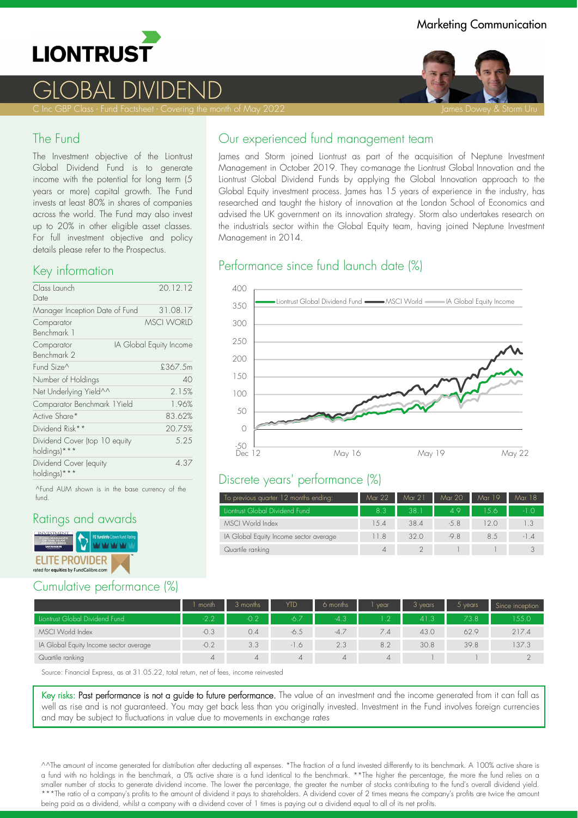

# GLOBAL DIVIDEND

C Inc GBP Class - Fund Factsheet - Covering the month of May 2022 James Dowey & Storm Uru James Dowey & Storm Uru

### The Fund

The Investment objective of the Liontrust Global Dividend Fund is to generate income with the potential for long term (5 years or more) capital growth. The Fund invests at least 80% in shares of companies across the world. The Fund may also invest up to 20% in other eligible asset classes. For full investment objective and policy details please refer to the Prospectus.

#### Key information

| Class Launch<br>Date                          | 20.12.12                |
|-----------------------------------------------|-------------------------|
| Manager Inception Date of Fund                | 31.08.17                |
| Comparator<br>Benchmark 1                     | MSCI WORID              |
| Comparator<br>Benchmark 2                     | IA Global Equity Income |
| Fund Size^                                    | £367.5m                 |
| Number of Holdings                            | 40                      |
| Net Underlying Yield^^                        | 2.15%                   |
| Comparator Benchmark 1Yield                   | 1.96%                   |
| Active Share*                                 | 83.62%                  |
| Dividend Risk**                               | 20.75%                  |
| Dividend Cover (top 10 equity<br>holdings)*** | 5.25                    |
| Dividend Cover (equity<br>holdings)***        | 4.37                    |

^Fund AUM shown is in the base currency of the fund.

### Ratings and awards



## Cumulative performance (%)

James and Storm joined Liontrust as part of the acquisition of Neptune Investment Management in October 2019. They co-manage the Liontrust Global Innovation and the Liontrust Global Dividend Funds by applying the Global Innovation approach to the Global Equity investment process. James has 15 years of experience in the industry, has researched and taught the history of innovation at the London School of Economics and advised the UK government on its innovation strategy. Storm also undertakes research on the industrials sector within the Global Equity team, having joined Neptune Investment Management in 2014.

# Performance since fund launch date (%)



#### Discrete years' performance (%)

| To previous quarter 12 months ending:  | Mar 22      | Mar 21 | Mar 20 | Mar 19 | Mar 18 |
|----------------------------------------|-------------|--------|--------|--------|--------|
| Liontrust Global Dividend Fund         | 8.3         | 38.7   | 4.9    | 156    | $-1.0$ |
| MSCI World Index                       | 1.5.4       | 38.4   | $-5.8$ | 12 O   | 1.3    |
| IA Global Equity Income sector average | 11.8        | 320    | $-9.8$ | 8.5    | $-1.4$ |
| Quartile ranking                       | $\varDelta$ |        |        |        |        |

|                                        | month  | 3 months | <b>YTD</b> | 6 months | vear     | 3 years | $5$ years | Since inception |
|----------------------------------------|--------|----------|------------|----------|----------|---------|-----------|-----------------|
| Liontrust Global Dividend Fund         | $-27$  | $-0.2$   | $-6.7$     | $-4.3$   | 1.2      | 41.3    | 73.8      | 155.0           |
| MSCI World Index                       | $-0.3$ | 0.4      | $-6.5$     | $-4.7$   | 7.4      | 43.0    | 62.9      | 217.4           |
| IA Global Equity Income sector average | $-0.2$ | 3.3      | $-1.6$     | 2.3      | 8.2      | 30.8    | 39.8      | 37.3            |
| Quartile ranking                       |        | 4        | $\Delta$   | $\Delta$ | $\Delta$ |         |           |                 |

Source: Financial Express, as at 31.05.22, total return, net of fees, income reinvested

Key risks: Past performance is not a guide to future performance. The value of an investment and the income generated from it can fall as well as rise and is not guaranteed. You may get back less than you originally invested. Investment in the Fund involves foreign currencies and may be subject to fluctuations in value due to movements in exchange rates

^^The amount of income generated for distribution after deducting all expenses. \*The fraction of a fund invested differently to its benchmark. A 100% active share is a fund with no holdings in the benchmark, a 0% active share is a fund identical to the benchmark. \*\*The higher the percentage, the more the fund relies on a smaller number of stocks to generate dividend income. The lower the percentage, the greater the number of stocks contributing to the fund's overall dividend yield. \*\*\*The ratio of a company's profits to the amount of dividend it pays to shareholders. A dividend cover of 2 times means the company's profits are twice the amount being paid as a dividend, whilst a company with a dividend cover of 1 times is paying out a dividend equal to all of its net profits.